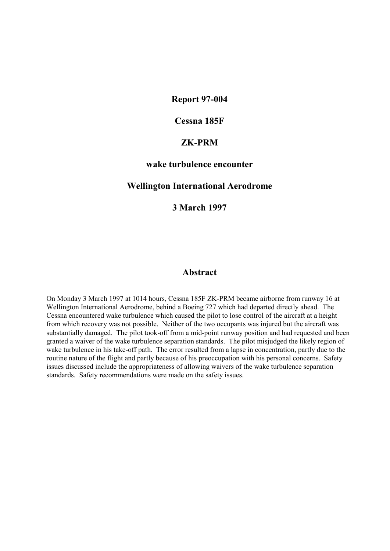### **Report 97-004**

## **Cessna 185F**

## **ZK-PRM**

### **wake turbulence encounter**

### **Wellington International Aerodrome**

## **3 March 1997**

### **Abstract**

On Monday 3 March 1997 at 1014 hours, Cessna 185F ZK-PRM became airborne from runway 16 at Wellington International Aerodrome, behind a Boeing 727 which had departed directly ahead. The Cessna encountered wake turbulence which caused the pilot to lose control of the aircraft at a height from which recovery was not possible. Neither of the two occupants was injured but the aircraft was substantially damaged. The pilot took-off from a mid-point runway position and had requested and been granted a waiver of the wake turbulence separation standards. The pilot misjudged the likely region of wake turbulence in his take-off path. The error resulted from a lapse in concentration, partly due to the routine nature of the flight and partly because of his preoccupation with his personal concerns. Safety issues discussed include the appropriateness of allowing waivers of the wake turbulence separation standards. Safety recommendations were made on the safety issues.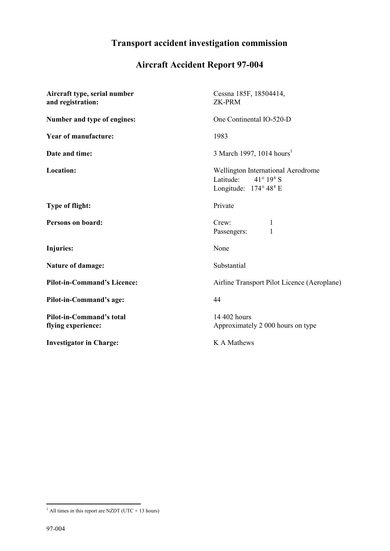# **Transport accident investigation commission**

# **Aircraft Accident Report 97-004**

| Aircraft type, serial number<br>and registration:     | Cessna 185F, 18504414,<br><b>ZK-PRM</b>                                                                           |
|-------------------------------------------------------|-------------------------------------------------------------------------------------------------------------------|
| Number and type of engines:                           | One Continental IO-520-D                                                                                          |
| <b>Year of manufacture:</b>                           | 1983                                                                                                              |
| Date and time:                                        | 3 March 1997, 1014 hours <sup>1</sup>                                                                             |
| <b>Location:</b>                                      | Wellington International Aerodrome<br>Latitude:<br>$41^{\circ} 19^{\circ} S$<br>Longitude: 174° 48 <sup>1</sup> E |
| <b>Type of flight:</b>                                | Private                                                                                                           |
| Persons on board:                                     | Crew:<br>$\mathbf{1}$<br>$\mathbf{1}$<br>Passengers:                                                              |
| Injuries:                                             | None                                                                                                              |
| Nature of damage:                                     | Substantial                                                                                                       |
| <b>Pilot-in-Command's Licence:</b>                    | Airline Transport Pilot Licence (Aeroplane)                                                                       |
| Pilot-in-Command's age:                               | 44                                                                                                                |
| <b>Pilot-in-Command's total</b><br>flying experience: | 14 402 hours<br>Approximately 2 000 hours on type                                                                 |
| <b>Investigator in Charge:</b>                        | K A Mathews                                                                                                       |

 $\overline{a}$ 

 $<sup>1</sup>$  All times in this report are NZDT (UTC + 13 hours)</sup>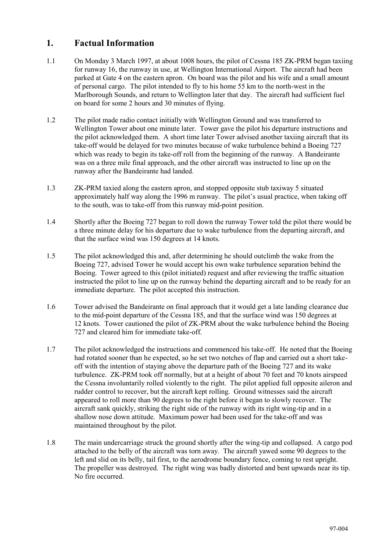# **1. Factual Information**

- 1.1 On Monday 3 March 1997, at about 1008 hours, the pilot of Cessna 185 ZK-PRM began taxiing for runway 16, the runway in use, at Wellington International Airport. The aircraft had been parked at Gate 4 on the eastern apron. On board was the pilot and his wife and a small amount of personal cargo. The pilot intended to fly to his home 55 km to the north-west in the Marlborough Sounds, and return to Wellington later that day. The aircraft had sufficient fuel on board for some 2 hours and 30 minutes of flying.
- 1.2 The pilot made radio contact initially with Wellington Ground and was transferred to Wellington Tower about one minute later. Tower gave the pilot his departure instructions and the pilot acknowledged them. A short time later Tower advised another taxiing aircraft that its take-off would be delayed for two minutes because of wake turbulence behind a Boeing 727 which was ready to begin its take-off roll from the beginning of the runway. A Bandeirante was on a three mile final approach, and the other aircraft was instructed to line up on the runway after the Bandeirante had landed.
- 1.3 ZK-PRM taxied along the eastern apron, and stopped opposite stub taxiway 5 situated approximately half way along the 1996 m runway. The pilot's usual practice, when taking off to the south, was to take-off from this runway mid-point position.
- 1.4 Shortly after the Boeing 727 began to roll down the runway Tower told the pilot there would be a three minute delay for his departure due to wake turbulence from the departing aircraft, and that the surface wind was 150 degrees at 14 knots.
- 1.5 The pilot acknowledged this and, after determining he should outclimb the wake from the Boeing 727, advised Tower he would accept his own wake turbulence separation behind the Boeing. Tower agreed to this (pilot initiated) request and after reviewing the traffic situation instructed the pilot to line up on the runway behind the departing aircraft and to be ready for an immediate departure. The pilot accepted this instruction.
- 1.6 Tower advised the Bandeirante on final approach that it would get a late landing clearance due to the mid-point departure of the Cessna 185, and that the surface wind was 150 degrees at 12 knots. Tower cautioned the pilot of ZK-PRM about the wake turbulence behind the Boeing 727 and cleared him for immediate take-off.
- 1.7 The pilot acknowledged the instructions and commenced his take-off. He noted that the Boeing had rotated sooner than he expected, so he set two notches of flap and carried out a short takeoff with the intention of staying above the departure path of the Boeing 727 and its wake turbulence. ZK-PRM took off normally, but at a height of about 70 feet and 70 knots airspeed the Cessna involuntarily rolled violently to the right. The pilot applied full opposite aileron and rudder control to recover, but the aircraft kept rolling. Ground witnesses said the aircraft appeared to roll more than 90 degrees to the right before it began to slowly recover. The aircraft sank quickly, striking the right side of the runway with its right wing-tip and in a shallow nose down attitude. Maximum power had been used for the take-off and was maintained throughout by the pilot.
- 1.8 The main undercarriage struck the ground shortly after the wing-tip and collapsed. A cargo pod attached to the belly of the aircraft was torn away. The aircraft yawed some 90 degrees to the left and slid on its belly, tail first, to the aerodrome boundary fence, coming to rest upright. The propeller was destroyed. The right wing was badly distorted and bent upwards near its tip. No fire occurred.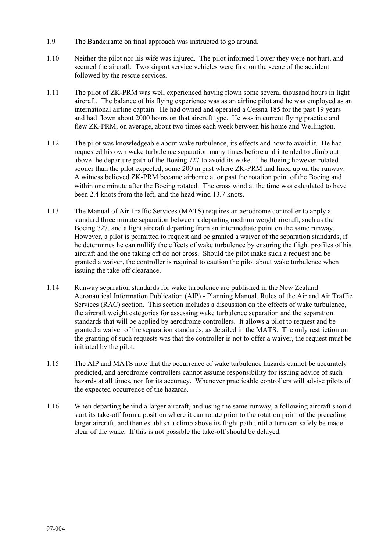- 1.9 The Bandeirante on final approach was instructed to go around.
- 1.10 Neither the pilot nor his wife was injured. The pilot informed Tower they were not hurt, and secured the aircraft. Two airport service vehicles were first on the scene of the accident followed by the rescue services.
- 1.11 The pilot of ZK-PRM was well experienced having flown some several thousand hours in light aircraft. The balance of his flying experience was as an airline pilot and he was employed as an international airline captain. He had owned and operated a Cessna 185 for the past 19 years and had flown about 2000 hours on that aircraft type. He was in current flying practice and flew ZK-PRM, on average, about two times each week between his home and Wellington.
- 1.12 The pilot was knowledgeable about wake turbulence, its effects and how to avoid it. He had requested his own wake turbulence separation many times before and intended to climb out above the departure path of the Boeing 727 to avoid its wake. The Boeing however rotated sooner than the pilot expected; some 200 m past where ZK-PRM had lined up on the runway. A witness believed ZK-PRM became airborne at or past the rotation point of the Boeing and within one minute after the Boeing rotated. The cross wind at the time was calculated to have been 2.4 knots from the left, and the head wind 13.7 knots.
- 1.13 The Manual of Air Traffic Services (MATS) requires an aerodrome controller to apply a standard three minute separation between a departing medium weight aircraft, such as the Boeing 727, and a light aircraft departing from an intermediate point on the same runway. However, a pilot is permitted to request and be granted a waiver of the separation standards, if he determines he can nullify the effects of wake turbulence by ensuring the flight profiles of his aircraft and the one taking off do not cross. Should the pilot make such a request and be granted a waiver, the controller is required to caution the pilot about wake turbulence when issuing the take-off clearance.
- 1.14 Runway separation standards for wake turbulence are published in the New Zealand Aeronautical Information Publication (AIP) - Planning Manual, Rules of the Air and Air Traffic Services (RAC) section. This section includes a discussion on the effects of wake turbulence, the aircraft weight categories for assessing wake turbulence separation and the separation standards that will be applied by aerodrome controllers. It allows a pilot to request and be granted a waiver of the separation standards, as detailed in the MATS. The only restriction on the granting of such requests was that the controller is not to offer a waiver, the request must be initiated by the pilot.
- 1.15 The AIP and MATS note that the occurrence of wake turbulence hazards cannot be accurately predicted, and aerodrome controllers cannot assume responsibility for issuing advice of such hazards at all times, nor for its accuracy. Whenever practicable controllers will advise pilots of the expected occurrence of the hazards.
- 1.16 When departing behind a larger aircraft, and using the same runway, a following aircraft should start its take-off from a position where it can rotate prior to the rotation point of the preceding larger aircraft, and then establish a climb above its flight path until a turn can safely be made clear of the wake. If this is not possible the take-off should be delayed.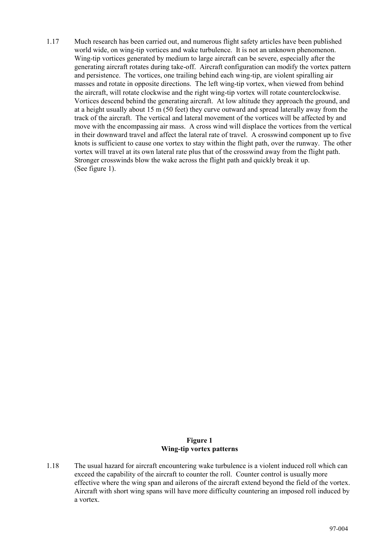1.17 Much research has been carried out, and numerous flight safety articles have been published world wide, on wing-tip vortices and wake turbulence. It is not an unknown phenomenon. Wing-tip vortices generated by medium to large aircraft can be severe, especially after the generating aircraft rotates during take-off. Aircraft configuration can modify the vortex pattern and persistence. The vortices, one trailing behind each wing-tip, are violent spiralling air masses and rotate in opposite directions. The left wing-tip vortex, when viewed from behind the aircraft, will rotate clockwise and the right wing-tip vortex will rotate counterclockwise. Vortices descend behind the generating aircraft. At low altitude they approach the ground, and at a height usually about 15 m (50 feet) they curve outward and spread laterally away from the track of the aircraft. The vertical and lateral movement of the vortices will be affected by and move with the encompassing air mass. A cross wind will displace the vortices from the vertical in their downward travel and affect the lateral rate of travel. A crosswind component up to five knots is sufficient to cause one vortex to stay within the flight path, over the runway. The other vortex will travel at its own lateral rate plus that of the crosswind away from the flight path. Stronger crosswinds blow the wake across the flight path and quickly break it up. (See figure 1).

#### **Figure 1 Wing-tip vortex patterns**

1.18 The usual hazard for aircraft encountering wake turbulence is a violent induced roll which can exceed the capability of the aircraft to counter the roll. Counter control is usually more effective where the wing span and ailerons of the aircraft extend beyond the field of the vortex. Aircraft with short wing spans will have more difficulty countering an imposed roll induced by a vortex.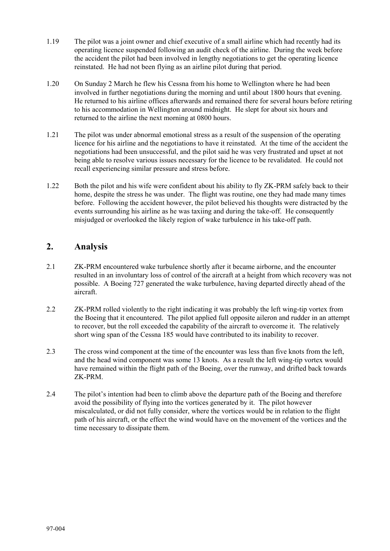- 1.19 The pilot was a joint owner and chief executive of a small airline which had recently had its operating licence suspended following an audit check of the airline. During the week before the accident the pilot had been involved in lengthy negotiations to get the operating licence reinstated. He had not been flying as an airline pilot during that period.
- 1.20 On Sunday 2 March he flew his Cessna from his home to Wellington where he had been involved in further negotiations during the morning and until about 1800 hours that evening. He returned to his airline offices afterwards and remained there for several hours before retiring to his accommodation in Wellington around midnight. He slept for about six hours and returned to the airline the next morning at 0800 hours.
- 1.21 The pilot was under abnormal emotional stress as a result of the suspension of the operating licence for his airline and the negotiations to have it reinstated. At the time of the accident the negotiations had been unsuccessful, and the pilot said he was very frustrated and upset at not being able to resolve various issues necessary for the licence to be revalidated. He could not recall experiencing similar pressure and stress before.
- 1.22 Both the pilot and his wife were confident about his ability to fly ZK-PRM safely back to their home, despite the stress he was under. The flight was routine, one they had made many times before. Following the accident however, the pilot believed his thoughts were distracted by the events surrounding his airline as he was taxiing and during the take-off. He consequently misjudged or overlooked the likely region of wake turbulence in his take-off path.

# **2. Analysis**

- 2.1 ZK-PRM encountered wake turbulence shortly after it became airborne, and the encounter resulted in an involuntary loss of control of the aircraft at a height from which recovery was not possible. A Boeing 727 generated the wake turbulence, having departed directly ahead of the aircraft.
- 2.2 ZK-PRM rolled violently to the right indicating it was probably the left wing-tip vortex from the Boeing that it encountered. The pilot applied full opposite aileron and rudder in an attempt to recover, but the roll exceeded the capability of the aircraft to overcome it. The relatively short wing span of the Cessna 185 would have contributed to its inability to recover.
- 2.3 The cross wind component at the time of the encounter was less than five knots from the left, and the head wind component was some 13 knots. As a result the left wing-tip vortex would have remained within the flight path of the Boeing, over the runway, and drifted back towards ZK-PRM.
- 2.4 The pilot's intention had been to climb above the departure path of the Boeing and therefore avoid the possibility of flying into the vortices generated by it. The pilot however miscalculated, or did not fully consider, where the vortices would be in relation to the flight path of his aircraft, or the effect the wind would have on the movement of the vortices and the time necessary to dissipate them.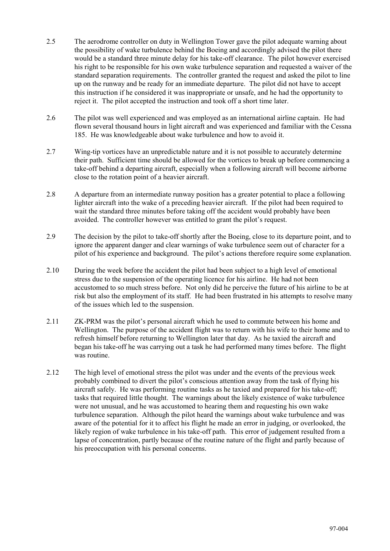- 2.5 The aerodrome controller on duty in Wellington Tower gave the pilot adequate warning about the possibility of wake turbulence behind the Boeing and accordingly advised the pilot there would be a standard three minute delay for his take-off clearance. The pilot however exercised his right to be responsible for his own wake turbulence separation and requested a waiver of the standard separation requirements. The controller granted the request and asked the pilot to line up on the runway and be ready for an immediate departure. The pilot did not have to accept this instruction if he considered it was inappropriate or unsafe, and he had the opportunity to reject it. The pilot accepted the instruction and took off a short time later.
- 2.6 The pilot was well experienced and was employed as an international airline captain. He had flown several thousand hours in light aircraft and was experienced and familiar with the Cessna 185. He was knowledgeable about wake turbulence and how to avoid it.
- 2.7 Wing-tip vortices have an unpredictable nature and it is not possible to accurately determine their path. Sufficient time should be allowed for the vortices to break up before commencing a take-off behind a departing aircraft, especially when a following aircraft will become airborne close to the rotation point of a heavier aircraft.
- 2.8 A departure from an intermediate runway position has a greater potential to place a following lighter aircraft into the wake of a preceding heavier aircraft. If the pilot had been required to wait the standard three minutes before taking off the accident would probably have been avoided. The controller however was entitled to grant the pilot's request.
- 2.9 The decision by the pilot to take-off shortly after the Boeing, close to its departure point, and to ignore the apparent danger and clear warnings of wake turbulence seem out of character for a pilot of his experience and background. The pilot's actions therefore require some explanation.
- 2.10 During the week before the accident the pilot had been subject to a high level of emotional stress due to the suspension of the operating licence for his airline. He had not been accustomed to so much stress before. Not only did he perceive the future of his airline to be at risk but also the employment of its staff. He had been frustrated in his attempts to resolve many of the issues which led to the suspension.
- 2.11 ZK-PRM was the pilot's personal aircraft which he used to commute between his home and Wellington. The purpose of the accident flight was to return with his wife to their home and to refresh himself before returning to Wellington later that day. As he taxied the aircraft and began his take-off he was carrying out a task he had performed many times before. The flight was routine.
- 2.12 The high level of emotional stress the pilot was under and the events of the previous week probably combined to divert the pilot's conscious attention away from the task of flying his aircraft safely. He was performing routine tasks as he taxied and prepared for his take-off; tasks that required little thought. The warnings about the likely existence of wake turbulence were not unusual, and he was accustomed to hearing them and requesting his own wake turbulence separation. Although the pilot heard the warnings about wake turbulence and was aware of the potential for it to affect his flight he made an error in judging, or overlooked, the likely region of wake turbulence in his take-off path. This error of judgement resulted from a lapse of concentration, partly because of the routine nature of the flight and partly because of his preoccupation with his personal concerns.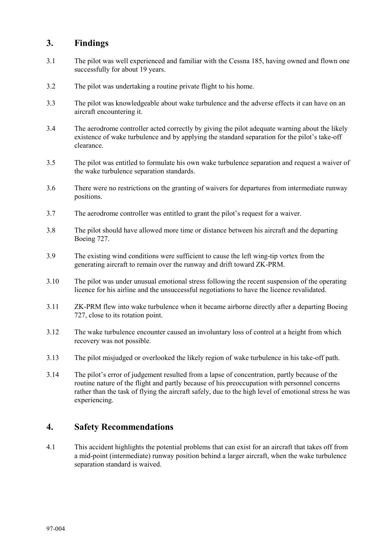# **3. Findings**

- 3.1 The pilot was well experienced and familiar with the Cessna 185, having owned and flown one successfully for about 19 years.
- 3.2 The pilot was undertaking a routine private flight to his home.
- 3.3 The pilot was knowledgeable about wake turbulence and the adverse effects it can have on an aircraft encountering it.
- 3.4 The aerodrome controller acted correctly by giving the pilot adequate warning about the likely existence of wake turbulence and by applying the standard separation for the pilot's take-off clearance.
- 3.5 The pilot was entitled to formulate his own wake turbulence separation and request a waiver of the wake turbulence separation standards.
- 3.6 There were no restrictions on the granting of waivers for departures from intermediate runway positions.
- 3.7 The aerodrome controller was entitled to grant the pilot's request for a waiver.
- 3.8 The pilot should have allowed more time or distance between his aircraft and the departing Boeing 727.
- 3.9 The existing wind conditions were sufficient to cause the left wing-tip vortex from the generating aircraft to remain over the runway and drift toward ZK-PRM.
- 3.10 The pilot was under unusual emotional stress following the recent suspension of the operating licence for his airline and the unsuccessful negotiations to have the licence revalidated.
- 3.11 ZK-PRM flew into wake turbulence when it became airborne directly after a departing Boeing 727, close to its rotation point.
- 3.12 The wake turbulence encounter caused an involuntary loss of control at a height from which recovery was not possible.
- 3.13 The pilot misjudged or overlooked the likely region of wake turbulence in his take-off path.
- 3.14 The pilot's error of judgement resulted from a lapse of concentration, partly because of the routine nature of the flight and partly because of his preoccupation with personnel concerns rather than the task of flying the aircraft safely, due to the high level of emotional stress he was experiencing.

## **4. Safety Recommendations**

4.1 This accident highlights the potential problems that can exist for an aircraft that takes off from a mid-point (intermediate) runway position behind a larger aircraft, when the wake turbulence separation standard is waived.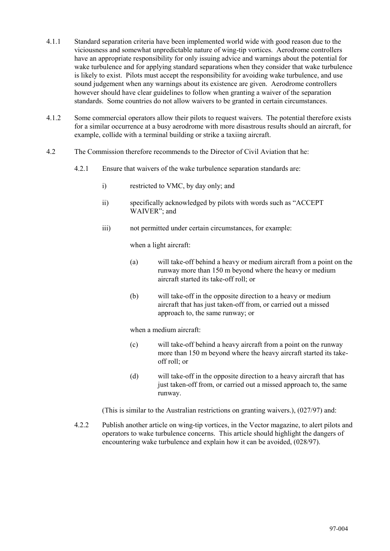- 4.1.1 Standard separation criteria have been implemented world wide with good reason due to the viciousness and somewhat unpredictable nature of wing-tip vortices. Aerodrome controllers have an appropriate responsibility for only issuing advice and warnings about the potential for wake turbulence and for applying standard separations when they consider that wake turbulence is likely to exist. Pilots must accept the responsibility for avoiding wake turbulence, and use sound judgement when any warnings about its existence are given. Aerodrome controllers however should have clear guidelines to follow when granting a waiver of the separation standards. Some countries do not allow waivers to be granted in certain circumstances.
- 4.1.2 Some commercial operators allow their pilots to request waivers. The potential therefore exists for a similar occurrence at a busy aerodrome with more disastrous results should an aircraft, for example, collide with a terminal building or strike a taxiing aircraft.
- 4.2 The Commission therefore recommends to the Director of Civil Aviation that he:
	- 4.2.1 Ensure that waivers of the wake turbulence separation standards are:
		- i) restricted to VMC, by day only; and
		- ii) specifically acknowledged by pilots with words such as "ACCEPT WAIVER"; and
		- iii) not permitted under certain circumstances, for example:

when a light aircraft:

- (a) will take-off behind a heavy or medium aircraft from a point on the runway more than 150 m beyond where the heavy or medium aircraft started its take-off roll; or
- (b) will take-off in the opposite direction to a heavy or medium aircraft that has just taken-off from, or carried out a missed approach to, the same runway; or

when a medium aircraft:

- (c) will take-off behind a heavy aircraft from a point on the runway more than 150 m beyond where the heavy aircraft started its takeoff roll; or
- (d) will take-off in the opposite direction to a heavy aircraft that has just taken-off from, or carried out a missed approach to, the same runway.

(This is similar to the Australian restrictions on granting waivers.), (027/97) and:

4.2.2 Publish another article on wing-tip vortices, in the Vector magazine, to alert pilots and operators to wake turbulence concerns. This article should highlight the dangers of encountering wake turbulence and explain how it can be avoided, (028/97).